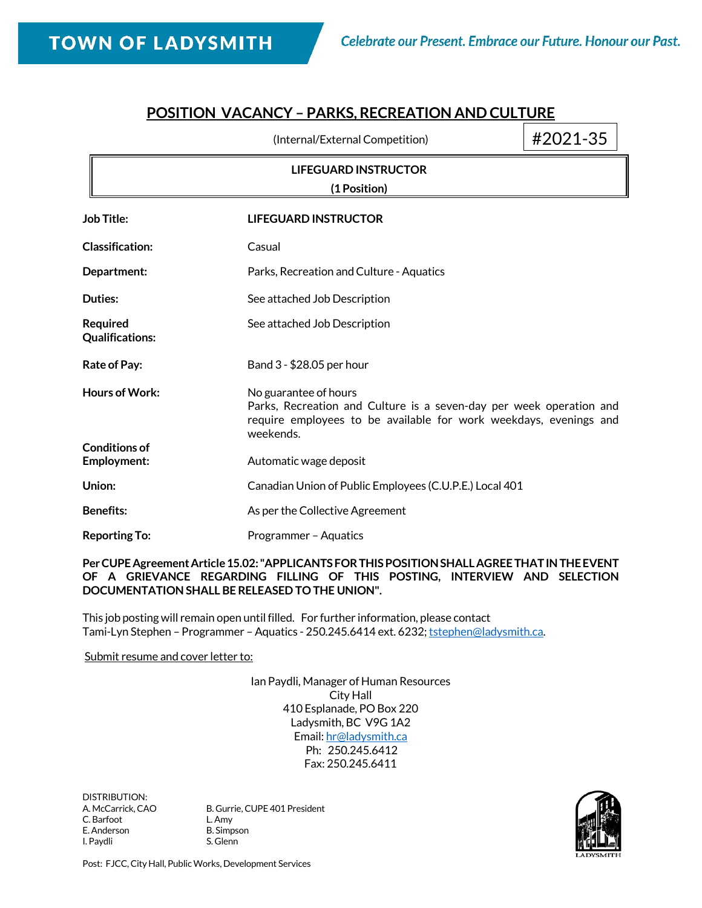# **POSITION VACANCY – PARKS, RECREATION AND CULTURE**

|                                             | (Internal/External Competition)                                                                                                                                                | #2021-35 |  |
|---------------------------------------------|--------------------------------------------------------------------------------------------------------------------------------------------------------------------------------|----------|--|
| <b>LIFEGUARD INSTRUCTOR</b><br>(1 Position) |                                                                                                                                                                                |          |  |
| <b>Job Title:</b>                           | <b>LIFEGUARD INSTRUCTOR</b>                                                                                                                                                    |          |  |
| <b>Classification:</b>                      | Casual                                                                                                                                                                         |          |  |
| Department:                                 | Parks, Recreation and Culture - Aquatics                                                                                                                                       |          |  |
| Duties:                                     | See attached Job Description                                                                                                                                                   |          |  |
| <b>Required</b><br><b>Qualifications:</b>   | See attached Job Description                                                                                                                                                   |          |  |
| <b>Rate of Pay:</b>                         | Band 3 - \$28.05 per hour                                                                                                                                                      |          |  |
| <b>Hours of Work:</b>                       | No guarantee of hours<br>Parks, Recreation and Culture is a seven-day per week operation and<br>require employees to be available for work weekdays, evenings and<br>weekends. |          |  |
| <b>Conditions of</b><br>Employment:         | Automatic wage deposit                                                                                                                                                         |          |  |
| Union:                                      | Canadian Union of Public Employees (C.U.P.E.) Local 401                                                                                                                        |          |  |
| <b>Benefits:</b>                            | As per the Collective Agreement                                                                                                                                                |          |  |
| <b>Reporting To:</b>                        | Programmer - Aquatics                                                                                                                                                          |          |  |

#### **Per CUPE Agreement Article 15.02: "APPLICANTS FOR THIS POSITION SHALL AGREE THAT IN THE EVENT OF A GRIEVANCE REGARDING FILLING OF THIS POSTING, INTERVIEW AND SELECTION DOCUMENTATION SHALL BE RELEASED TO THE UNION".**

This job posting will remain open until filled. For further information, please contact Tami-Lyn Stephen - Programmer - Aquatics - 250.245.6414 ext. 6232[; tstephen@ladysmith.ca.](mailto:tstephen@ladysmith.ca)

#### Submit resume and cover letter to:

Ian Paydli, Manager of Human Resources City Hall 410 Esplanade, PO Box 220 Ladysmith, BC V9G 1A2 Email[: hr@ladysmith.ca](mailto:hr@ladysmith.ca) Ph: 250.245.6412 Fax: 250.245.6411

DISTRIBUTION:<br>A. McCarrick, CAO C. Barfoot L. Amy E. Anderson B. Simpson I. Paydli S. Glenn

B. Gurrie, CUPE 401 President



Post: FJCC, City Hall, Public Works, Development Services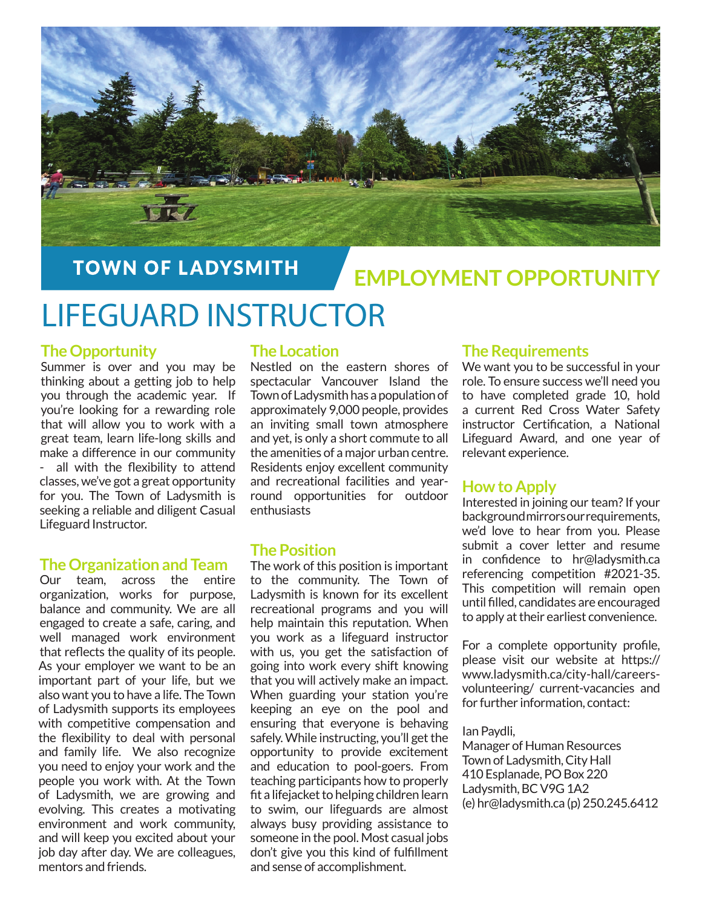

# **TOWN OF LADYSMITH**

# **EMPLOYMENT OPPORTUNITY**

# LIFEGUARD INSTRUCTOR

# **The Opportunity**

Summer is over and you may be thinking about a getting job to help you through the academic year. If you're looking for a rewarding role that will allow you to work with a great team, learn life-long skills and make a difference in our community - all with the flexibility to attend classes, we've got a great opportunity for you. The Town of Ladysmith is seeking a reliable and diligent Casual Lifeguard Instructor.

## **The Organization and Team**

Our team, across the entire organization, works for purpose, balance and community. We are all engaged to create a safe, caring, and well managed work environment that reflects the quality of its people. As your employer we want to be an important part of your life, but we also want you to have a life. The Town of Ladysmith supports its employees with competitive compensation and the flexibility to deal with personal and family life. We also recognize you need to enjoy your work and the people you work with. At the Town of Ladysmith, we are growing and evolving. This creates a motivating environment and work community, and will keep you excited about your job day after day. We are colleagues, mentors and friends.

## **The Location**

Nestled on the eastern shores of spectacular Vancouver Island the Town of Ladysmith has a population of approximately 9,000 people, provides an inviting small town atmosphere and yet, is only a short commute to all the amenities of a major urban centre. Residents enjoy excellent community and recreational facilities and yearround opportunities for outdoor enthusiasts

## **The Position**

The work of this position is important to the community. The Town of Ladysmith is known for its excellent recreational programs and you will help maintain this reputation. When you work as a lifeguard instructor with us, you get the satisfaction of going into work every shift knowing that you will actively make an impact. When guarding your station you're keeping an eye on the pool and ensuring that everyone is behaving safely. While instructing, you'll get the opportunity to provide excitement and education to pool-goers. From teaching participants how to properly fit a lifejacket to helping children learn to swim, our lifeguards are almost always busy providing assistance to someone in the pool. Most casual jobs don't give you this kind of fulfillment and sense of accomplishment.

# **The Requirements**

We want you to be successful in your role. To ensure success we'll need you to have completed grade 10, hold a current Red Cross Water Safety instructor Certification, a National Lifeguard Award, and one year of relevant experience.

## **How to Apply**

Interested in joining our team? If your background mirrors our requirements, we'd love to hear from you. Please submit a cover letter and resume in confidence to  $hr@$  ladysmith.ca referencing competition #2021-35. This competition will remain open until filled, candidates are encouraged to apply at their earliest convenience.

For a complete opportunity profile, please visit our website at https:// www.ladysmith.ca/city-hall/careersvolunteering/ current-vacancies and for further information, contact:

#### Ian Paydli,

Manager of Human Resources Town of Ladysmith, City Hall 410 Esplanade, PO Box 220 Ladysmith, BC V9G 1A2 (e) hr@ladysmith.ca (p) 250.245.6412